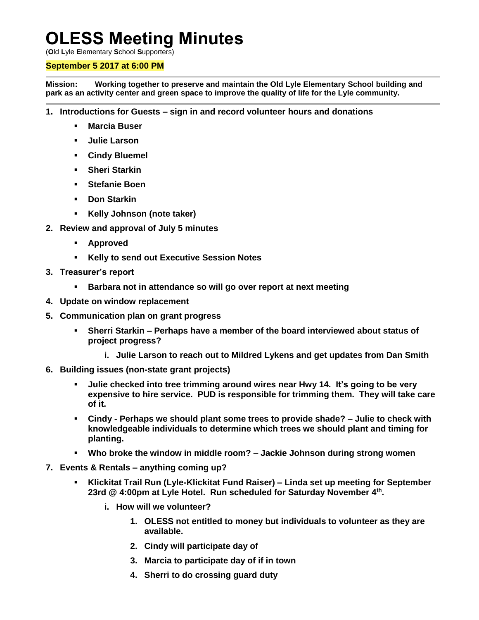## **OLESS Meeting Minutes**

(**O**ld **L**yle **E**lementary **S**chool **S**upporters)

## **September 5 2017 at 6:00 PM**

**Mission: Working together to preserve and maintain the Old Lyle Elementary School building and park as an activity center and green space to improve the quality of life for the Lyle community.**

- **1. Introductions for Guests – sign in and record volunteer hours and donations**
	- **Marcia Buser**
	- **Julie Larson**
	- **Cindy Bluemel**
	- **Sheri Starkin**
	- **Stefanie Boen**
	- **Don Starkin**
	- **Kelly Johnson (note taker)**
- **2. Review and approval of July 5 minutes**
	- **Approved**
	- **Kelly to send out Executive Session Notes**
- **3. Treasurer's report**
	- **Barbara not in attendance so will go over report at next meeting**
- **4. Update on window replacement**
- **5. Communication plan on grant progress**
	- **Sherri Starkin – Perhaps have a member of the board interviewed about status of project progress?**
		- **i. Julie Larson to reach out to Mildred Lykens and get updates from Dan Smith**
- **6. Building issues (non-state grant projects)**
	- **Julie checked into tree trimming around wires near Hwy 14. It's going to be very expensive to hire service. PUD is responsible for trimming them. They will take care of it.**
	- **Cindy - Perhaps we should plant some trees to provide shade? – Julie to check with knowledgeable individuals to determine which trees we should plant and timing for planting.**
	- **Who broke the window in middle room? – Jackie Johnson during strong women**
- **7. Events & Rentals – anything coming up?**
	- **Klickitat Trail Run (Lyle-Klickitat Fund Raiser) – Linda set up meeting for September 23rd @ 4:00pm at Lyle Hotel. Run scheduled for Saturday November 4th .**
		- **i. How will we volunteer?**
			- **1. OLESS not entitled to money but individuals to volunteer as they are available.**
			- **2. Cindy will participate day of**
			- **3. Marcia to participate day of if in town**
			- **4. Sherri to do crossing guard duty**